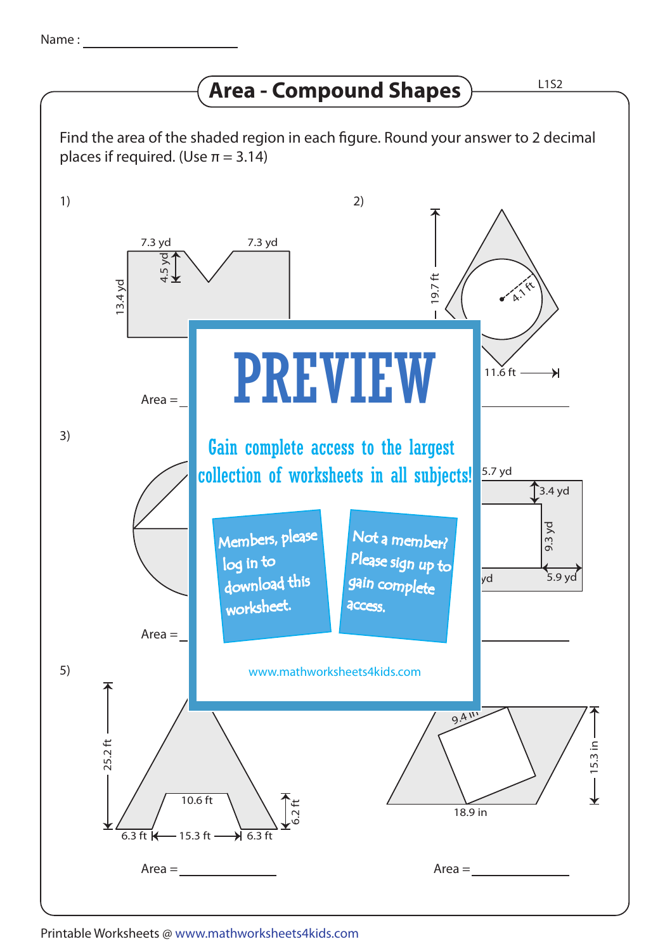## **Area - Compound Shapes**

L1S2